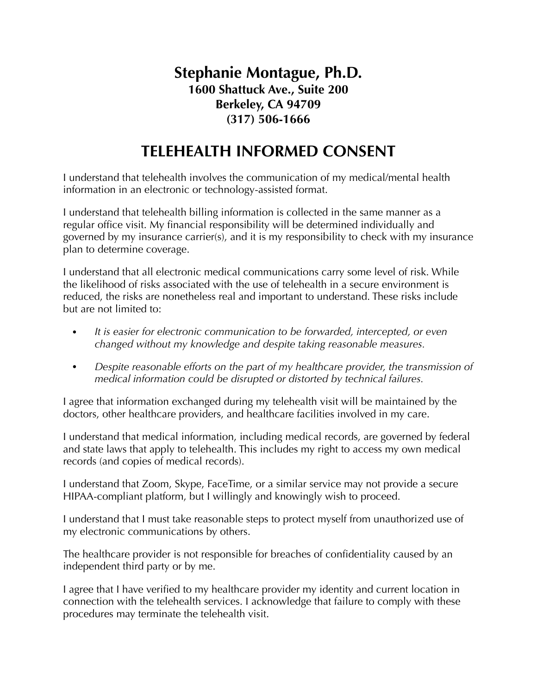## **Stephanie Montague, Ph.D. 1600 Shattuck Ave., Suite 200 Berkeley, CA 94709 (317) 506-1666**

## **TELEHEALTH INFORMED CONSENT**

I understand that telehealth involves the communication of my medical/mental health information in an electronic or technology-assisted format.

I understand that telehealth billing information is collected in the same manner as a regular office visit. My financial responsibility will be determined individually and governed by my insurance carrier(s), and it is my responsibility to check with my insurance plan to determine coverage.

I understand that all electronic medical communications carry some level of risk. While the likelihood of risks associated with the use of telehealth in a secure environment is reduced, the risks are nonetheless real and important to understand. These risks include but are not limited to:

- *• It is easier for electronic communication to be forwarded, intercepted, or even changed without my knowledge and despite taking reasonable measures.*
- *• Despite reasonable efforts on the part of my healthcare provider, the transmission of medical information could be disrupted or distorted by technical failures.*

I agree that information exchanged during my telehealth visit will be maintained by the doctors, other healthcare providers, and healthcare facilities involved in my care.

I understand that medical information, including medical records, are governed by federal and state laws that apply to telehealth. This includes my right to access my own medical records (and copies of medical records).

I understand that Zoom, Skype, FaceTime, or a similar service may not provide a secure HIPAA-compliant platform, but I willingly and knowingly wish to proceed.

I understand that I must take reasonable steps to protect myself from unauthorized use of my electronic communications by others.

The healthcare provider is not responsible for breaches of confidentiality caused by an independent third party or by me.

I agree that I have verified to my healthcare provider my identity and current location in connection with the telehealth services. I acknowledge that failure to comply with these procedures may terminate the telehealth visit.